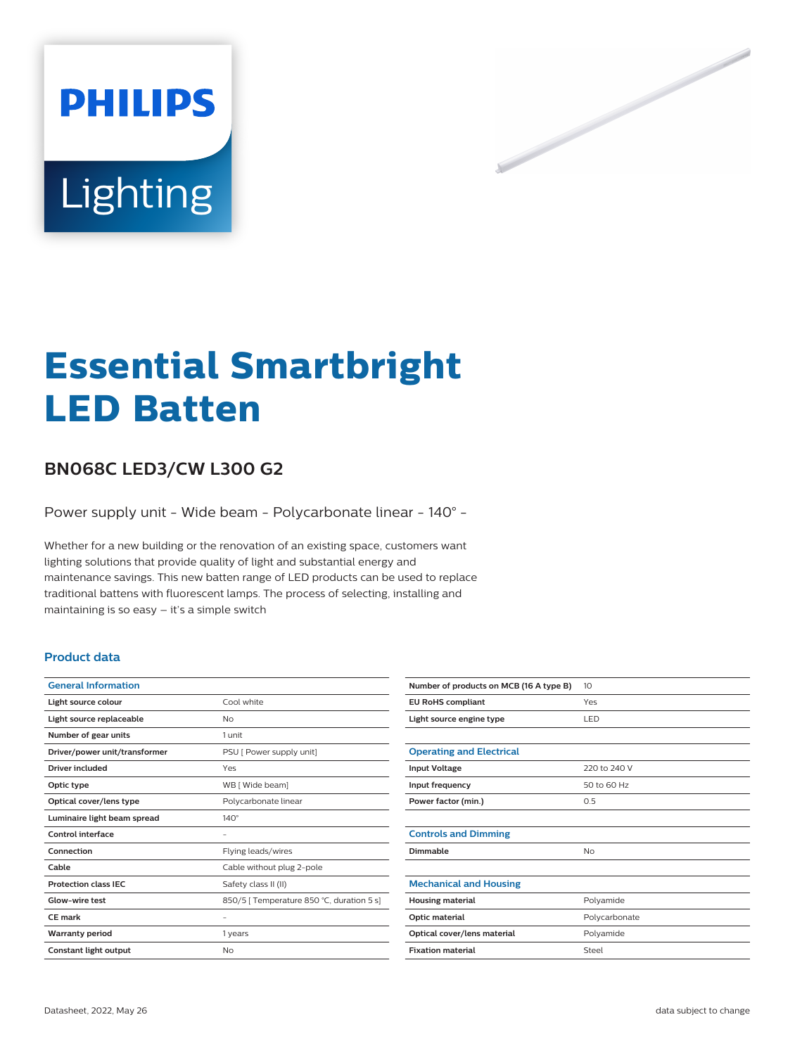

# **Essential Smartbright LED Batten**

# **BN068C LED3/CW L300 G2**

Power supply unit - Wide beam - Polycarbonate linear - 140° -

Whether for a new building or the renovation of an existing space, customers want lighting solutions that provide quality of light and substantial energy and maintenance savings. This new batten range of LED products can be used to replace traditional battens with fluorescent lamps. The process of selecting, installing and maintaining is so easy – it's a simple switch

### **Product data**

| <b>General Information</b>    |                                           |
|-------------------------------|-------------------------------------------|
| Light source colour           | Cool white                                |
| Light source replaceable      | No                                        |
| Number of gear units          | 1 unit                                    |
| Driver/power unit/transformer | PSU [ Power supply unit]                  |
| Driver included               | Yes                                       |
| Optic type                    | WB [ Wide beam]                           |
| Optical cover/lens type       | Polycarbonate linear                      |
| Luminaire light beam spread   | $140^\circ$                               |
| Control interface             |                                           |
| Connection                    | Flying leads/wires                        |
| Cable                         | Cable without plug 2-pole                 |
| <b>Protection class IEC</b>   | Safety class II (II)                      |
| Glow-wire test                | 850/5   Temperature 850 °C, duration 5 s] |
| <b>CE</b> mark                |                                           |
| <b>Warranty period</b>        | 1 years                                   |
| Constant light output         | No                                        |

| Number of products on MCB (16 A type B) | 10            |
|-----------------------------------------|---------------|
| <b>EU RoHS compliant</b>                | Yes           |
| Light source engine type                | LED           |
|                                         |               |
| <b>Operating and Electrical</b>         |               |
| <b>Input Voltage</b>                    | 220 to 240 V  |
| Input frequency                         | 50 to 60 Hz   |
| Power factor (min.)                     | 0.5           |
|                                         |               |
| <b>Controls and Dimming</b>             |               |
| Dimmable                                | No            |
|                                         |               |
| <b>Mechanical and Housing</b>           |               |
| <b>Housing material</b>                 | Polyamide     |
| Optic material                          | Polycarbonate |
| Optical cover/lens material             | Polyamide     |
| <b>Fixation material</b>                | Steel         |
|                                         |               |